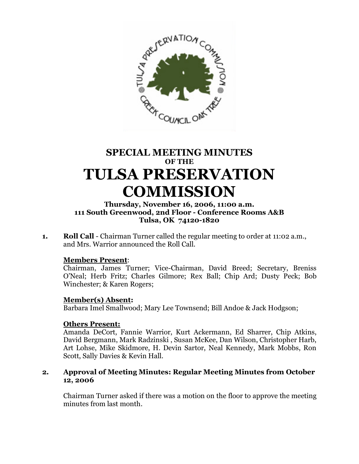

# **SPECIAL MEETING MINUTES OF THE TULSA PRESERVATION COMMISSION**

## **Thursday, November 16, 2006, 11:00 a.m. 111 South Greenwood, 2nd Floor - Conference Rooms A&B Tulsa, OK 74120-1820**

**1. Roll Call** - Chairman Turner called the regular meeting to order at 11:02 a.m., and Mrs. Warrior announced the Roll Call.

#### **Members Present**:

Chairman, James Turner; Vice-Chairman, David Breed; Secretary, Breniss O'Neal; Herb Fritz; Charles Gilmore; Rex Ball; Chip Ard; Dusty Peck; Bob Winchester; & Karen Rogers;

#### **Member(s) Absent:**

Barbara Imel Smallwood; Mary Lee Townsend; Bill Andoe & Jack Hodgson;

#### **Others Present:**

Amanda DeCort, Fannie Warrior, Kurt Ackermann, Ed Sharrer, Chip Atkins, David Bergmann, Mark Radzinski , Susan McKee, Dan Wilson, Christopher Harb, Art Lohse, Mike Skidmore, H. Devin Sartor, Neal Kennedy, Mark Mobbs, Ron Scott, Sally Davies & Kevin Hall.

## **2. Approval of Meeting Minutes: Regular Meeting Minutes from October 12, 2006**

Chairman Turner asked if there was a motion on the floor to approve the meeting minutes from last month.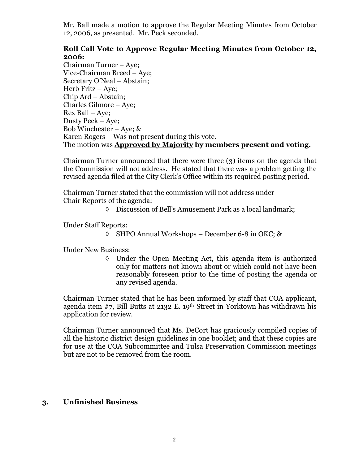Mr. Ball made a motion to approve the Regular Meeting Minutes from October 12, 2006, as presented. Mr. Peck seconded.

## **Roll Call Vote to Approve Regular Meeting Minutes from October 12, 2006:**

Chairman Turner – Aye; Vice-Chairman Breed – Aye; Secretary O'Neal – Abstain; Herb Fritz – Aye; Chip Ard – Abstain; Charles Gilmore – Aye; Rex Ball – Aye; Dusty Peck – Aye; Bob Winchester – Aye; & Karen Rogers – Was not present during this vote. The motion was **Approved by Majority by members present and voting.**

Chairman Turner announced that there were three (3) items on the agenda that the Commission will not address. He stated that there was a problem getting the revised agenda filed at the City Clerk's Office within its required posting period.

Chairman Turner stated that the commission will not address under Chair Reports of the agenda:

Discussion of Bell's Amusement Park as a local landmark;

Under Staff Reports:

 $\Diamond$  SHPO Annual Workshops – December 6-8 in OKC; &

Under New Business:

 $\Diamond$  Under the Open Meeting Act, this agenda item is authorized only for matters not known about or which could not have been reasonably foreseen prior to the time of posting the agenda or any revised agenda.

Chairman Turner stated that he has been informed by staff that COA applicant, agenda item #7, Bill Butts at 2132 E. 19th Street in Yorktown has withdrawn his application for review.

Chairman Turner announced that Ms. DeCort has graciously compiled copies of all the historic district design guidelines in one booklet; and that these copies are for use at the COA Subcommittee and Tulsa Preservation Commission meetings but are not to be removed from the room.

## **3. Unfinished Business**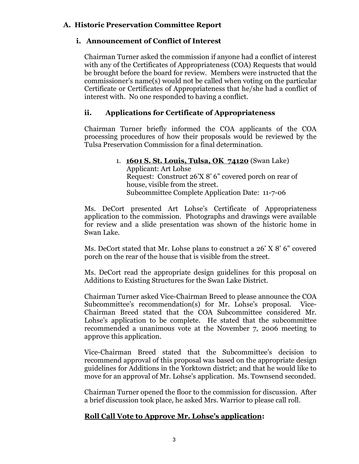## **A. Historic Preservation Committee Report**

## **i. Announcement of Conflict of Interest**

Chairman Turner asked the commission if anyone had a conflict of interest with any of the Certificates of Appropriateness (COA) Requests that would be brought before the board for review. Members were instructed that the commissioner's name(s) would not be called when voting on the particular Certificate or Certificates of Appropriateness that he/she had a conflict of interest with. No one responded to having a conflict.

## **ii. Applications for Certificate of Appropriateness**

Chairman Turner briefly informed the COA applicants of the COA processing procedures of how their proposals would be reviewed by the Tulsa Preservation Commission for a final determination.

#### 1. **1601 S. St. Louis, Tulsa, OK 74120** (Swan Lake) Applicant: Art Lohse Request: Construct 26'X 8' 6" covered porch on rear of house, visible from the street. Subcommittee Complete Application Date: 11-7-06

Ms. DeCort presented Art Lohse's Certificate of Appropriateness application to the commission. Photographs and drawings were available for review and a slide presentation was shown of the historic home in Swan Lake.

Ms. DeCort stated that Mr. Lohse plans to construct a 26' X 8' 6" covered porch on the rear of the house that is visible from the street.

Ms. DeCort read the appropriate design guidelines for this proposal on Additions to Existing Structures for the Swan Lake District.

Chairman Turner asked Vice-Chairman Breed to please announce the COA Subcommittee's recommendation(s) for Mr. Lohse's proposal. Vice-Chairman Breed stated that the COA Subcommittee considered Mr. Lohse's application to be complete. He stated that the subcommittee recommended a unanimous vote at the November 7, 2006 meeting to approve this application.

Vice-Chairman Breed stated that the Subcommittee's decision to recommend approval of this proposal was based on the appropriate design guidelines for Additions in the Yorktown district; and that he would like to move for an approval of Mr. Lohse's application. Ms. Townsend seconded.

Chairman Turner opened the floor to the commission for discussion. After a brief discussion took place, he asked Mrs. Warrior to please call roll.

## **Roll Call Vote to Approve Mr. Lohse's application:**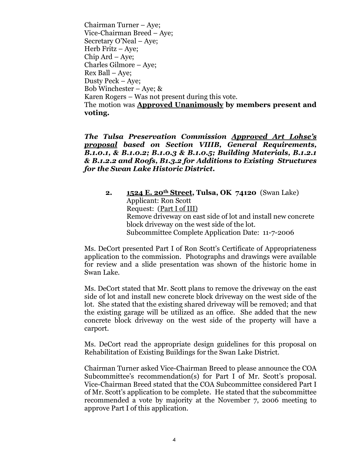Chairman Turner – Aye; Vice-Chairman Breed – Aye; Secretary O'Neal – Aye; Herb Fritz – Aye; Chip Ard – Aye; Charles Gilmore – Aye; Rex Ball – Aye; Dusty Peck – Aye; Bob Winchester – Aye;  $\&$ Karen Rogers – Was not present during this vote. The motion was **Approved Unanimously by members present and voting.**

*The Tulsa Preservation Commission Approved Art Lohse's proposal based on Section VIIIB, General Requirements, B.1.0.1, & B.1.0.2; B.1.0.3 & B.1.0.5; Building Materials, B.1.2.1 & B.1.2.2 and Roofs, B1.3.2 for Additions to Existing Structures for the Swan Lake Historic District.*

**2. 1524 E. 20th Street, Tulsa, OK 74120** (Swan Lake) Applicant: Ron Scott Request: (Part I of III) Remove driveway on east side of lot and install new concrete block driveway on the west side of the lot. Subcommittee Complete Application Date: 11-7-2006

Ms. DeCort presented Part I of Ron Scott's Certificate of Appropriateness application to the commission. Photographs and drawings were available for review and a slide presentation was shown of the historic home in Swan Lake.

Ms. DeCort stated that Mr. Scott plans to remove the driveway on the east side of lot and install new concrete block driveway on the west side of the lot. She stated that the existing shared driveway will be removed; and that the existing garage will be utilized as an office. She added that the new concrete block driveway on the west side of the property will have a carport.

Ms. DeCort read the appropriate design guidelines for this proposal on Rehabilitation of Existing Buildings for the Swan Lake District.

Chairman Turner asked Vice-Chairman Breed to please announce the COA Subcommittee's recommendation(s) for Part I of Mr. Scott's proposal. Vice-Chairman Breed stated that the COA Subcommittee considered Part I of Mr. Scott's application to be complete. He stated that the subcommittee recommended a vote by majority at the November 7, 2006 meeting to approve Part I of this application.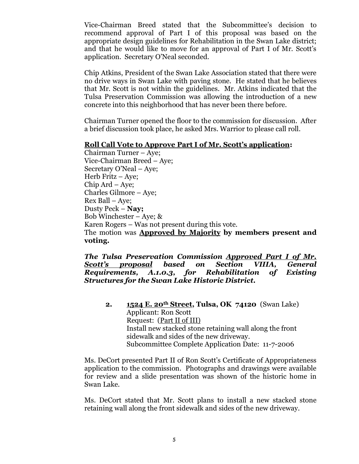Vice-Chairman Breed stated that the Subcommittee's decision to recommend approval of Part I of this proposal was based on the appropriate design guidelines for Rehabilitation in the Swan Lake district; and that he would like to move for an approval of Part I of Mr. Scott's application. Secretary O'Neal seconded.

Chip Atkins, President of the Swan Lake Association stated that there were no drive ways in Swan Lake with paving stone. He stated that he believes that Mr. Scott is not within the guidelines. Mr. Atkins indicated that the Tulsa Preservation Commission was allowing the introduction of a new concrete into this neighborhood that has never been there before.

Chairman Turner opened the floor to the commission for discussion. After a brief discussion took place, he asked Mrs. Warrior to please call roll.

#### **Roll Call Vote to Approve Part I of Mr. Scott's application:**

Chairman Turner – Aye; Vice-Chairman Breed – Aye; Secretary O'Neal – Aye; Herb Fritz – Aye; Chip Ard – Aye; Charles Gilmore – Aye; Rex Ball – Aye; Dusty Peck –**Nay;** Bob Winchester – Aye; & Karen Rogers – Was not present during this vote. The motion was **Approved by Majority by members present and voting.**

*The Tulsa Preservation Commission Approved Part I of Mr. Scott's proposal based on Section VIIIA, General Requirements, A.1.0.3, for Rehabilitation of Existing Structures for the Swan Lake Historic District.*

**2. 1524 E. 20th Street, Tulsa, OK 74120** (Swan Lake) Applicant: Ron Scott Request: (Part II of III) Install new stacked stone retaining wall along the front sidewalk and sides of the new driveway. Subcommittee Complete Application Date: 11-7-2006

Ms. DeCort presented Part II of Ron Scott's Certificate of Appropriateness application to the commission. Photographs and drawings were available for review and a slide presentation was shown of the historic home in Swan Lake.

Ms. DeCort stated that Mr. Scott plans to install a new stacked stone retaining wall along the front sidewalk and sides of the new driveway.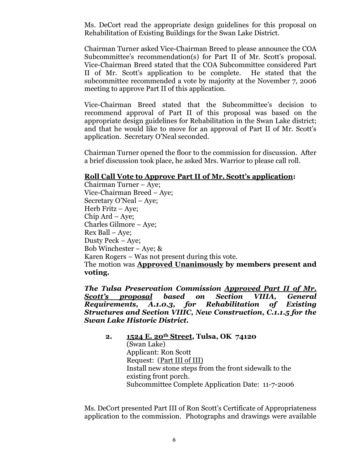Ms. DeCort read the appropriate design guidelines for this proposal on Rehabilitation of Existing Buildings for the Swan Lake District.

Chairman Turner asked Vice-Chairman Breed to please announce the COA Subcommittee's recommendation(s) for Part II of Mr. Scott's proposal. Vice-Chairman Breed stated that the COA Subcommittee considered Part II of Mr. Scott's application to be complete. He stated that the subcommittee recommended a vote by majority at the November 7, 2006 meeting to approve Part II of this application.

Vice-Chairman Breed stated that the Subcommittee's decision to recommend approval of Part II of this proposal was based on the appropriate design guidelines for Rehabilitation in the Swan Lake district; and that he would like to move for an approval of Part II of Mr. Scott's application. Secretary O'Neal seconded.

Chairman Turner opened the floor to the commission for discussion. After a brief discussion took place, he asked Mrs. Warrior to please call roll.

#### **Roll Call Vote to Approve Part II of Mr. Scott's application:**

Chairman Turner – Aye; Vice-Chairman Breed – Aye; Secretary O'Neal – Aye; Herb Fritz – Aye; Chip Ard – Aye; Charles Gilmore – Aye; Rex Ball – Aye; Dusty Peck –Aye; Bob Winchester – Aye; & Karen Rogers – Was not present during this vote. The motion was **Approved Unanimously by members present and voting.**

*The Tulsa Preservation Commission Approved Part II of Mr. Scott's proposal based on Section VIIIA, General Requirements, A.1.0.3, for Rehabilitation of Existing Structures and Section VIIIC, New Construction, C.1.1.5 for the Swan Lake Historic District.*

**2. 1524 E. 20th Street, Tulsa, OK 74120**  (Swan Lake) Applicant: Ron Scott Request: (Part III of III) Install new stone steps from the front sidewalk to the existing front porch. Subcommittee Complete Application Date: 11-7-2006

Ms. DeCort presented Part III of Ron Scott's Certificate of Appropriateness application to the commission. Photographs and drawings were available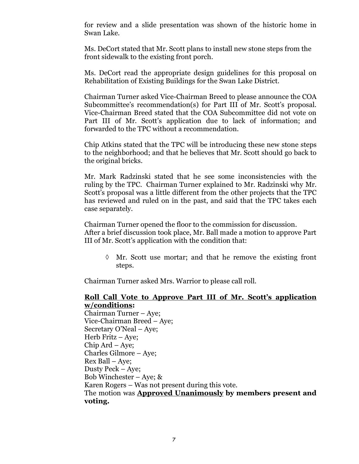for review and a slide presentation was shown of the historic home in Swan Lake.

Ms. DeCort stated that Mr. Scott plans to install new stone steps from the front sidewalk to the existing front porch.

Ms. DeCort read the appropriate design guidelines for this proposal on Rehabilitation of Existing Buildings for the Swan Lake District.

Chairman Turner asked Vice-Chairman Breed to please announce the COA Subcommittee's recommendation(s) for Part III of Mr. Scott's proposal. Vice-Chairman Breed stated that the COA Subcommittee did not vote on Part III of Mr. Scott's application due to lack of information; and forwarded to the TPC without a recommendation.

Chip Atkins stated that the TPC will be introducing these new stone steps to the neighborhood; and that he believes that Mr. Scott should go back to the original bricks.

Mr. Mark Radzinski stated that he see some inconsistencies with the ruling by the TPC. Chairman Turner explained to Mr. Radzinski why Mr. Scott's proposal was a little different from the other projects that the TPC has reviewed and ruled on in the past, and said that the TPC takes each case separately.

Chairman Turner opened the floor to the commission for discussion. After a brief discussion took place, Mr. Ball made a motion to approve Part III of Mr. Scott's application with the condition that:

 $\Diamond$  Mr. Scott use mortar; and that he remove the existing front steps.

Chairman Turner asked Mrs. Warrior to please call roll.

#### **Roll Call Vote to Approve Part III of Mr. Scott's application w/conditions:**

Chairman Turner – Aye; Vice-Chairman Breed – Aye; Secretary O'Neal – Aye; Herb Fritz – Aye; Chip Ard – Aye; Charles Gilmore – Aye; Rex Ball – Aye; Dusty Peck – Aye; Bob Winchester – Aye; & Karen Rogers – Was not present during this vote. The motion was **Approved Unanimously by members present and voting.**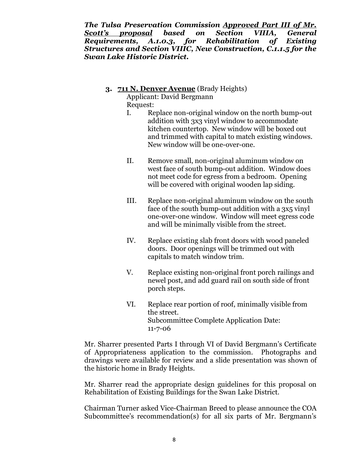*The Tulsa Preservation Commission Approved Part III of Mr. Scott's proposal based on Section VIIIA, General Requirements, A.1.0.3, for Rehabilitation of Existing Structures and Section VIIIC, New Construction, C.1.1.5 for the Swan Lake Historic District.*

**3. 711 N. Denver Avenue** (Brady Heights)

Applicant: David Bergmann Request:

- I. Replace non-original window on the north bump-out addition with 3x3 vinyl window to accommodate kitchen countertop. New window will be boxed out and trimmed with capital to match existing windows. New window will be one-over-one.
- II. Remove small, non-original aluminum window on west face of south bump-out addition. Window does not meet code for egress from a bedroom. Opening will be covered with original wooden lap siding.
- III. Replace non-original aluminum window on the south face of the south bump-out addition with a 3x5 vinyl one-over-one window. Window will meet egress code and will be minimally visible from the street.
- IV. Replace existing slab front doors with wood paneled doors. Door openings will be trimmed out with capitals to match window trim.
- V. Replace existing non-original front porch railings and newel post, and add guard rail on south side of front porch steps.
- VI. Replace rear portion of roof, minimally visible from the street. Subcommittee Complete Application Date: 11-7-06

Mr. Sharrer presented Parts I through VI of David Bergmann's Certificate of Appropriateness application to the commission. Photographs and drawings were available for review and a slide presentation was shown of the historic home in Brady Heights.

Mr. Sharrer read the appropriate design guidelines for this proposal on Rehabilitation of Existing Buildings for the Swan Lake District.

Chairman Turner asked Vice-Chairman Breed to please announce the COA Subcommittee's recommendation(s) for all six parts of Mr. Bergmann's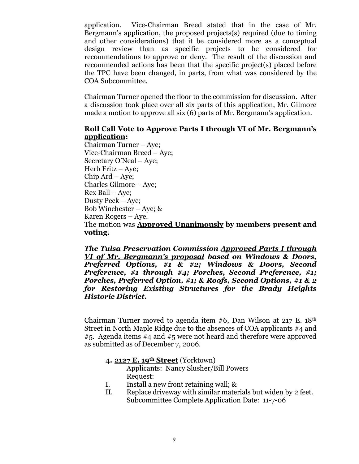application. Vice-Chairman Breed stated that in the case of Mr. Bergmann's application, the proposed projects(s) required (due to timing and other considerations) that it be considered more as a conceptual design review than as specific projects to be considered for recommendations to approve or deny. The result of the discussion and recommended actions has been that the specific project(s) placed before the TPC have been changed, in parts, from what was considered by the COA Subcommittee.

Chairman Turner opened the floor to the commission for discussion. After a discussion took place over all six parts of this application, Mr. Gilmore made a motion to approve all six (6) parts of Mr. Bergmann's application.

#### **Roll Call Vote to Approve Parts I through VI of Mr. Bergmann's application:**

Chairman Turner – Aye; Vice-Chairman Breed – Aye; Secretary O'Neal – Aye; Herb Fritz – Aye; Chip Ard – Aye; Charles Gilmore – Aye; Rex Ball – Aye; Dusty Peck – Aye; Bob Winchester – Aye; & Karen Rogers – Aye. The motion was **Approved Unanimously by members present and voting.**

*The Tulsa Preservation Commission Approved Parts I through VI of Mr. Bergmann's proposal based on Windows & Doors, Preferred Options, #1 & #2; Windows & Doors, Second Preference, #1 through #4; Porches, Second Preference, #1; Porches, Preferred Option, #1; & Roofs, Second Options, #1 & 2 for Restoring Existing Structures for the Brady Heights Historic District.*

Chairman Turner moved to agenda item  $#6$ , Dan Wilson at 217 E. 18<sup>th</sup> Street in North Maple Ridge due to the absences of COA applicants #4 and  $#5.$  Agenda items  $#4$  and  $#5$  were not heard and therefore were approved as submitted as of December 7, 2006.

#### **4. 2127 E. 19th Street** (Yorktown)

Applicants: Nancy Slusher/Bill Powers Request:

- I. Install a new front retaining wall; &
- II. Replace driveway with similar materials but widen by 2 feet. Subcommittee Complete Application Date: 11-7-06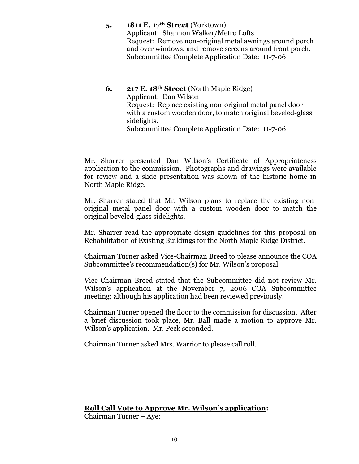#### **5. 1811 E. 17th Street** (Yorktown)

Applicant: Shannon Walker/Metro Lofts Request: Remove non-original metal awnings around porch and over windows, and remove screens around front porch. Subcommittee Complete Application Date: 11-7-06

**6. 217 E. 18th Street** (North Maple Ridge) Applicant: Dan Wilson Request: Replace existing non-original metal panel door with a custom wooden door, to match original beveled-glass sidelights. Subcommittee Complete Application Date: 11-7-06

Mr. Sharrer presented Dan Wilson's Certificate of Appropriateness application to the commission. Photographs and drawings were available for review and a slide presentation was shown of the historic home in North Maple Ridge.

Mr. Sharrer stated that Mr. Wilson plans to replace the existing nonoriginal metal panel door with a custom wooden door to match the original beveled-glass sidelights.

Mr. Sharrer read the appropriate design guidelines for this proposal on Rehabilitation of Existing Buildings for the North Maple Ridge District.

Chairman Turner asked Vice-Chairman Breed to please announce the COA Subcommittee's recommendation(s) for Mr. Wilson's proposal.

Vice-Chairman Breed stated that the Subcommittee did not review Mr. Wilson's application at the November 7, 2006 COA Subcommittee meeting; although his application had been reviewed previously.

Chairman Turner opened the floor to the commission for discussion. After a brief discussion took place, Mr. Ball made a motion to approve Mr. Wilson's application. Mr. Peck seconded.

Chairman Turner asked Mrs. Warrior to please call roll.

## **Roll Call Vote to Approve Mr. Wilson's application:**

Chairman Turner – Aye;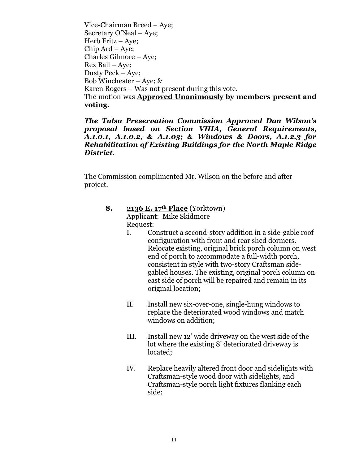Vice-Chairman Breed – Aye; Secretary O'Neal – Aye; Herb Fritz – Aye; Chip Ard – Aye; Charles Gilmore – Aye; Rex Ball – Aye; Dusty Peck –Aye; Bob Winchester – Aye; & Karen Rogers – Was not present during this vote. The motion was **Approved Unanimously by members present and voting.**

*The Tulsa Preservation Commission Approved Dan Wilson's proposal based on Section VIIIA, General Requirements, A.1.0.1, A.1.0.2, & A.1.03; & Windows & Doors, A.1.2.3 for Rehabilitation of Existing Buildings for the North Maple Ridge District.* 

The Commission complimented Mr. Wilson on the before and after project.

- **8. 2136 E. 17th Place** (Yorktown) Applicant: Mike Skidmore Request:
	- I. Construct a second-story addition in a side-gable roof configuration with front and rear shed dormers. Relocate existing, original brick porch column on west end of porch to accommodate a full-width porch, consistent in style with two-story Craftsman sidegabled houses. The existing, original porch column on east side of porch will be repaired and remain in its original location;
	- II. Install new six-over-one, single-hung windows to replace the deteriorated wood windows and match windows on addition;
	- III. Install new 12' wide driveway on the west side of the lot where the existing 8' deteriorated driveway is located;
	- IV. Replace heavily altered front door and sidelights with Craftsman-style wood door with sidelights, and Craftsman-style porch light fixtures flanking each side;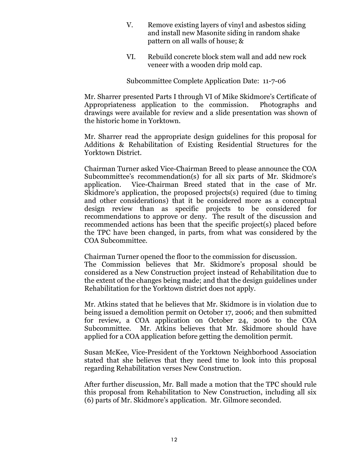- V. Remove existing layers of vinyl and asbestos siding and install new Masonite siding in random shake pattern on all walls of house; &
- VI. Rebuild concrete block stem wall and add new rock veneer with a wooden drip mold cap.

Subcommittee Complete Application Date: 11-7-06

Mr. Sharrer presented Parts I through VI of Mike Skidmore's Certificate of Appropriateness application to the commission. Photographs and drawings were available for review and a slide presentation was shown of the historic home in Yorktown.

Mr. Sharrer read the appropriate design guidelines for this proposal for Additions & Rehabilitation of Existing Residential Structures for the Yorktown District.

Chairman Turner asked Vice-Chairman Breed to please announce the COA Subcommittee's recommendation(s) for all six parts of Mr. Skidmore's application. Vice-Chairman Breed stated that in the case of Mr. Skidmore's application, the proposed projects(s) required (due to timing and other considerations) that it be considered more as a conceptual design review than as specific projects to be considered for recommendations to approve or deny. The result of the discussion and recommended actions has been that the specific project(s) placed before the TPC have been changed, in parts, from what was considered by the COA Subcommittee.

Chairman Turner opened the floor to the commission for discussion.

The Commission believes that Mr. Skidmore's proposal should be considered as a New Construction project instead of Rehabilitation due to the extent of the changes being made; and that the design guidelines under Rehabilitation for the Yorktown district does not apply.

Mr. Atkins stated that he believes that Mr. Skidmore is in violation due to being issued a demolition permit on October 17, 2006; and then submitted for review, a COA application on October 24, 2006 to the COA Subcommittee. Mr. Atkins believes that Mr. Skidmore should have applied for a COA application before getting the demolition permit.

Susan McKee, Vice-President of the Yorktown Neighborhood Association stated that she believes that they need time to look into this proposal regarding Rehabilitation verses New Construction.

After further discussion, Mr. Ball made a motion that the TPC should rule this proposal from Rehabilitation to New Construction, including all six (6) parts of Mr. Skidmore's application. Mr. Gilmore seconded.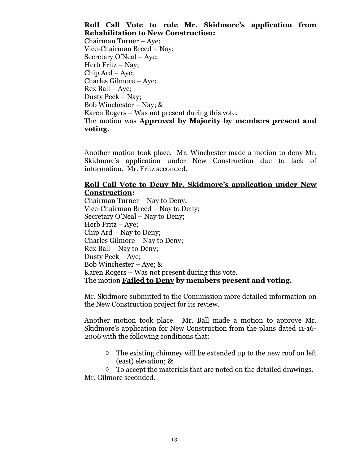## **Roll Call Vote to rule Mr. Skidmore's application from Rehabilitation to New Construction:**

Chairman Turner – Aye; Vice-Chairman Breed –Nay; Secretary O'Neal – Aye; Herb Fritz  $-$  Nay; Chip Ard – Aye; Charles Gilmore – Aye; Rex Ball – Aye; Dusty Peck – Nay; Bob Winchester – Nay;  $\&$ Karen Rogers – Was not present during this vote. The motion was **Approved by Majority by members present and voting.**

Another motion took place. Mr. Winchester made a motion to deny Mr. Skidmore's application under New Construction due to lack of information. Mr. Fritz seconded.

## **Roll Call Vote to Deny Mr. Skidmore's application under New Construction:**

Chairman Turner – Nay to Deny; Vice-Chairman Breed – Nay to Deny; Secretary O'Neal – Nay to Deny; Herb Fritz – Aye; Chip Ard – Nay to Deny; Charles Gilmore – Nay to Deny; Rex Ball – Nay to Deny; Dusty Peck – Aye; Bob Winchester – Aye;  $\&$ Karen Rogers – Was not present during this vote. The motion **Failed to Deny by members present and voting.**

Mr. Skidmore submitted to the Commission more detailed information on the New Construction project for its review.

Another motion took place. Mr. Ball made a motion to approve Mr. Skidmore's application for New Construction from the plans dated 11-16- 2006 with the following conditions that:

 $\Diamond$  The existing chimney will be extended up to the new roof on left (east) elevation; &

 $\Diamond$  To accept the materials that are noted on the detailed drawings. Mr. Gilmore seconded.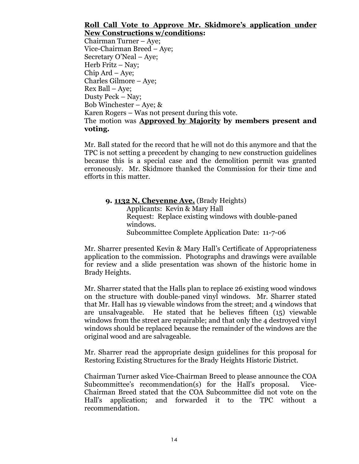## **Roll Call Vote to Approve Mr. Skidmore's application under New Constructions w/conditions:**

Chairman Turner – Aye; Vice-Chairman Breed – Aye; Secretary O'Neal – Aye; Herb Fritz – Nay; Chip Ard – Aye; Charles Gilmore – Aye; Rex Ball – Aye; Dusty Peck – Nay; Bob Winchester – Aye; & Karen Rogers – Was not present during this vote. The motion was **Approved by Majority by members present and voting.**

Mr. Ball stated for the record that he will not do this anymore and that the TPC is not setting a precedent by changing to new construction guidelines because this is a special case and the demolition permit was granted erroneously. Mr. Skidmore thanked the Commission for their time and efforts in this matter.

**9. 1132 N. Cheyenne Ave.** (Brady Heights) Applicants: Kevin & Mary Hall Request: Replace existing windows with double-paned windows. Subcommittee Complete Application Date: 11-7-06

Mr. Sharrer presented Kevin & Mary Hall's Certificate of Appropriateness application to the commission. Photographs and drawings were available for review and a slide presentation was shown of the historic home in Brady Heights.

Mr. Sharrer stated that the Halls plan to replace 26 existing wood windows on the structure with double-paned vinyl windows. Mr. Sharrer stated that Mr. Hall has 19 viewable windows from the street; and 4 windows that are unsalvageable. He stated that he believes fifteen (15) viewable windows from the street are repairable; and that only the 4 destroyed vinyl windows should be replaced because the remainder of the windows are the original wood and are salvageable.

Mr. Sharrer read the appropriate design guidelines for this proposal for Restoring Existing Structures for the Brady Heights Historic District.

Chairman Turner asked Vice-Chairman Breed to please announce the COA Subcommittee's recommendation(s) for the Hall's proposal. Vice-Chairman Breed stated that the COA Subcommittee did not vote on the Hall's application; and forwarded it to the TPC without a recommendation.